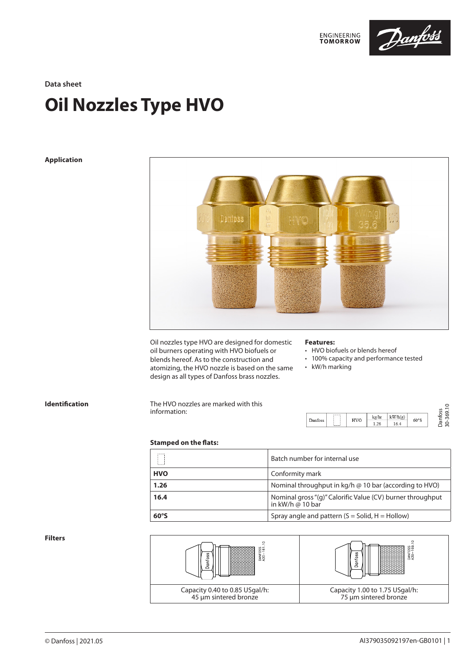

**Data sheet**

# **Oil Nozzles Type HVO**

# **Application**



Oil nozzles type HVO are designed for domestic oil burners operating with HVO biofuels or blends hereof. As to the construction and atomizing, the HVO nozzle is based on the same design as all types of Danfoss brass nozzles.

### **Features:**

• HVO biofuels or blends hereof

- 100% capacity and performance tested
- kW/h marking

**Identification** The HVO nozzles are marked with this information:



30-369.10

# **Stamped on the flats:**

| <b>Stallibed Oil the Hats.</b> |                                                                                       |
|--------------------------------|---------------------------------------------------------------------------------------|
| П                              | Batch number for internal use                                                         |
| <b>HVO</b>                     | Conformity mark                                                                       |
| 1.26                           | Nominal throughput in $\text{kg}/\text{h} \otimes 10$ bar (according to HVO)          |
| 16.4                           | Nominal gross "(g)" Calorific Value (CV) burner throughput<br>in kW/h $\omega$ 10 bar |
| 60°S                           | Spray angle and pattern $(S = Solid, H =Hollow)$                                      |

**Filters**

| ႔ င<br>≹<br>SŞ                                          | 28<br>놀음<br>⊂                                           |
|---------------------------------------------------------|---------------------------------------------------------|
| Capacity 0.40 to 0.85 USgal/h:<br>45 µm sintered bronze | Capacity 1.00 to 1.75 USgal/h:<br>75 µm sintered bronze |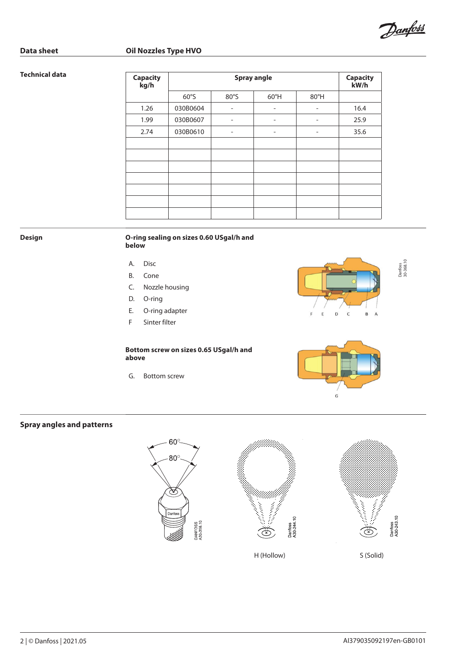

# **Data sheet Communist Communist Communist Communist Communist Communist Communist Communist Communist Communist Communist Communist Communist Communist Communist Communist Communist Communist Communist Communist Communist**

# **Technical data**

| <b>Capacity</b><br>kg/h | <b>Spray angle</b> |                              |                          |                              | <b>Capacity</b><br>kW/h |
|-------------------------|--------------------|------------------------------|--------------------------|------------------------------|-------------------------|
|                         | 60°S               | 80°S                         | $60^{\circ}$ H           | 80°H                         |                         |
| 1.26                    | 030B0604           | $\overline{\phantom{0}}$     | $\overline{\phantom{a}}$ | $\overline{\phantom{0}}$     | 16.4                    |
| 1.99                    | 030B0607           | $\qquad \qquad \blacksquare$ | $\overline{\phantom{0}}$ | $\qquad \qquad \blacksquare$ | 25.9                    |
| 2.74                    | 030B0610           | $\qquad \qquad \blacksquare$ | $\overline{\phantom{0}}$ | $\overline{\phantom{0}}$     | 35.6                    |
|                         |                    |                              |                          |                              |                         |
|                         |                    |                              |                          |                              |                         |
|                         |                    |                              |                          |                              |                         |
|                         |                    |                              |                          |                              |                         |
|                         |                    |                              |                          |                              |                         |
|                         |                    |                              |                          |                              |                         |
|                         |                    |                              |                          |                              |                         |

### **Design O-ring sealing on sizes 0.60 USgal/h and below**

- A. Disc
- B. Cone
- C. Nozzle housing
- D. O-ring
- E. O-ring adapter
- F Sinter filter

## **Bottom screw on sizes 0.65 USgal/h and above**

G. Bottom screw



Danfoss<br>30-368.10 30-368.10



# **Spray angles and patterns**

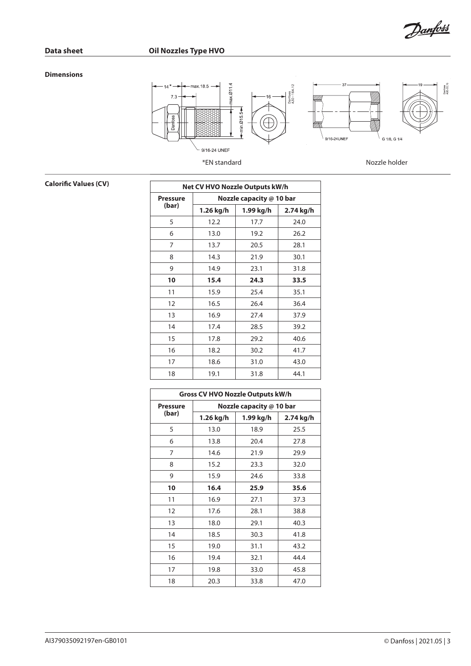Danfoss

# **Dimensions**



**Calorific Values (CV)** 

| <b>Net CV HVO Nozzle Outputs kW/h</b> |                          |           |           |  |
|---------------------------------------|--------------------------|-----------|-----------|--|
| <b>Pressure</b>                       | Nozzle capacity @ 10 bar |           |           |  |
| (bar)                                 | 1.26 kg/h                | 1.99 kg/h | 2.74 kg/h |  |
| 5                                     | 12.2                     | 17.7      | 24.0      |  |
| 6                                     | 13.0                     | 19.2      | 26.2      |  |
| 7                                     | 13.7                     | 20.5      | 28.1      |  |
| 8                                     | 14.3                     | 21.9      | 30.1      |  |
| 9                                     | 14.9                     | 23.1      | 31.8      |  |
| 10                                    | 15.4                     | 24.3      | 33.5      |  |
| 11                                    | 15.9                     | 25.4      | 35.1      |  |
| 12                                    | 16.5                     | 26.4      | 36.4      |  |
| 13                                    | 16.9                     | 27.4      | 37.9      |  |
| 14                                    | 17.4                     | 28.5      | 39.2      |  |
| 15                                    | 17.8                     | 29.2      | 40.6      |  |
| 16                                    | 18.2                     | 30.2      | 41.7      |  |
| 17                                    | 18.6                     | 31.0      | 43.0      |  |
| 18                                    | 19.1                     | 31.8      | 44.1      |  |

| Gross CV HVO Nozzle Outputs kW/h |                          |           |           |  |
|----------------------------------|--------------------------|-----------|-----------|--|
| <b>Pressure</b>                  | Nozzle capacity @ 10 bar |           |           |  |
| (bar)                            | 1.26 kg/h                | 1.99 kg/h | 2.74 kg/h |  |
| 5                                | 13.0                     | 18.9      | 25.5      |  |
| 6                                | 13.8                     | 20.4      | 27.8      |  |
| 7                                | 14.6                     | 21.9      | 29.9      |  |
| 8                                | 15.2                     | 23.3      | 32.0      |  |
| 9                                | 15.9                     | 24.6      | 33.8      |  |
| 10                               | 16.4                     | 25.9      | 35.6      |  |
| 11                               | 16.9                     | 27.1      | 37.3      |  |
| 12                               | 17.6                     | 28.1      | 38.8      |  |
| 13                               | 18.0                     | 29.1      | 40.3      |  |
| 14                               | 18.5                     | 30.3      | 41.8      |  |
| 15                               | 19.0                     | 31.1      | 43.2      |  |
| 16                               | 19.4                     | 32.1      | 44.4      |  |
| 17                               | 19.8                     | 33.0      | 45.8      |  |
| 18                               | 20.3                     | 33.8      | 47.0      |  |

AI379035092197en-GB0101 **Danfoss** | 2021.05 | 3